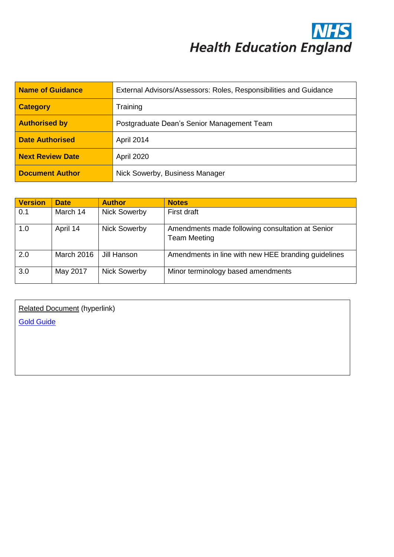**NHS**<br>Health Education England

| <b>Name of Guidance</b> | External Advisors/Assessors: Roles, Responsibilities and Guidance |  |
|-------------------------|-------------------------------------------------------------------|--|
| <b>Category</b>         | Training                                                          |  |
| <b>Authorised by</b>    | Postgraduate Dean's Senior Management Team                        |  |
| <b>Date Authorised</b>  | April 2014                                                        |  |
| <b>Next Review Date</b> | <b>April 2020</b>                                                 |  |
| <b>Document Author</b>  | Nick Sowerby, Business Manager                                    |  |

| <b>Version</b> | <b>Date</b>       | <b>Author</b>       | <b>Notes</b>                                                            |
|----------------|-------------------|---------------------|-------------------------------------------------------------------------|
| 0.1            | March 14          | <b>Nick Sowerby</b> | First draft                                                             |
| 1.0            | April 14          | <b>Nick Sowerby</b> | Amendments made following consultation at Senior<br><b>Team Meeting</b> |
| 2.0            | <b>March 2016</b> | Jill Hanson         | Amendments in line with new HEE branding guidelines                     |
| 3.0            | May 2017          | <b>Nick Sowerby</b> | Minor terminology based amendments                                      |

Related Document (hyperlink) [Gold Guide](https://www.copmed.org.uk/publications/the-gold-guide)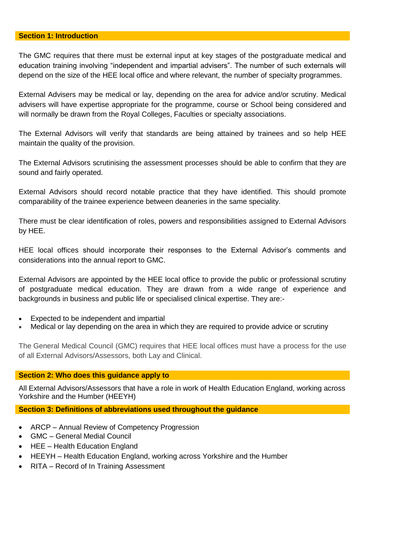# **Section 1: Introduction**

The GMC requires that there must be external input at key stages of the postgraduate medical and education training involving "independent and impartial advisers". The number of such externals will depend on the size of the HEE local office and where relevant, the number of specialty programmes.

External Advisers may be medical or lay, depending on the area for advice and/or scrutiny. Medical advisers will have expertise appropriate for the programme, course or School being considered and will normally be drawn from the Royal Colleges, Faculties or specialty associations.

The External Advisors will verify that standards are being attained by trainees and so help HEE maintain the quality of the provision.

The External Advisors scrutinising the assessment processes should be able to confirm that they are sound and fairly operated.

External Advisors should record notable practice that they have identified. This should promote comparability of the trainee experience between deaneries in the same speciality.

There must be clear identification of roles, powers and responsibilities assigned to External Advisors by HEE.

HEE local offices should incorporate their responses to the External Advisor's comments and considerations into the annual report to GMC.

External Advisors are appointed by the HEE local office to provide the public or professional scrutiny of postgraduate medical education. They are drawn from a wide range of experience and backgrounds in business and public life or specialised clinical expertise. They are:-

- Expected to be independent and impartial
- Medical or lay depending on the area in which they are required to provide advice or scrutiny

The General Medical Council (GMC) requires that HEE local offices must have a process for the use of all External Advisors/Assessors, both Lay and Clinical.

### **Section 2: Who does this guidance apply to**

All External Advisors/Assessors that have a role in work of Health Education England, working across Yorkshire and the Humber (HEEYH)

**Section 3: Definitions of abbreviations used throughout the guidance**

- ARCP Annual Review of Competency Progression
- GMC General Medial Council
- HEE Health Education England
- HEEYH Health Education England, working across Yorkshire and the Humber
- RITA Record of In Training Assessment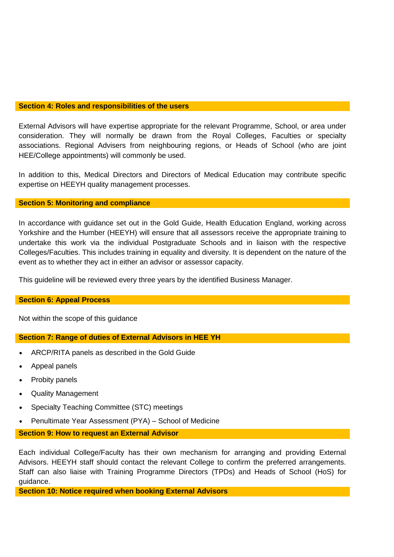### **Section 4: Roles and responsibilities of the users**

External Advisors will have expertise appropriate for the relevant Programme, School, or area under consideration. They will normally be drawn from the Royal Colleges, Faculties or specialty associations. Regional Advisers from neighbouring regions, or Heads of School (who are joint HEE/College appointments) will commonly be used.

In addition to this, Medical Directors and Directors of Medical Education may contribute specific expertise on HEEYH quality management processes.

### **Section 5: Monitoring and compliance**

In accordance with guidance set out in the Gold Guide, Health Education England, working across Yorkshire and the Humber (HEEYH) will ensure that all assessors receive the appropriate training to undertake this work via the individual Postgraduate Schools and in liaison with the respective Colleges/Faculties. This includes training in equality and diversity. It is dependent on the nature of the event as to whether they act in either an advisor or assessor capacity.

This guideline will be reviewed every three years by the identified Business Manager.

#### **Section 6: Appeal Process**

Not within the scope of this guidance

### **Section 7: Range of duties of External Advisors in HEE YH**

- ARCP/RITA panels as described in the Gold Guide
- Appeal panels
- Probity panels
- Quality Management
- Specialty Teaching Committee (STC) meetings
- Penultimate Year Assessment (PYA) School of Medicine

#### **Section 9: How to request an External Advisor**

Each individual College/Faculty has their own mechanism for arranging and providing External Advisors. HEEYH staff should contact the relevant College to confirm the preferred arrangements. Staff can also liaise with Training Programme Directors (TPDs) and Heads of School (HoS) for guidance.

**Section 10: Notice required when booking External Advisors**